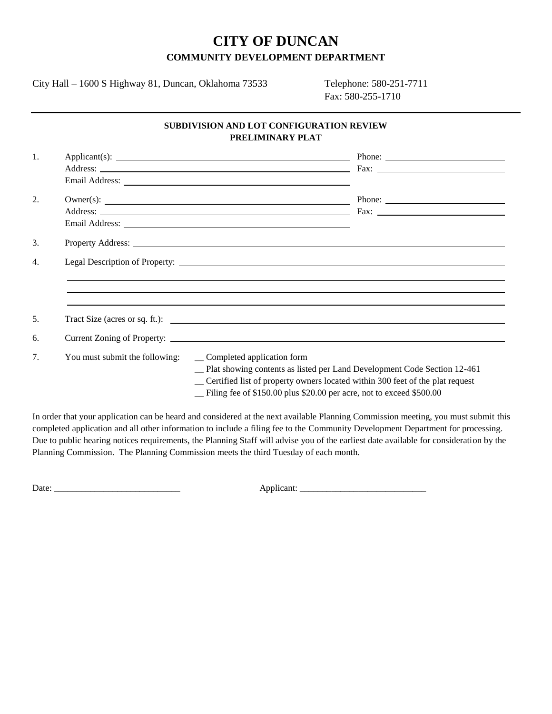## **CITY OF DUNCAN COMMUNITY DEVELOPMENT DEPARTMENT**

City Hall – 1600 S Highway 81, Duncan, Oklahoma 73533 Telephone: 580-251-7711

Fax: 580-255-1710

## **SUBDIVISION AND LOT CONFIGURATION REVIEW PRELIMINARY PLAT**

| 1. |                                |                                                                                                                                                                                                                                                                         |
|----|--------------------------------|-------------------------------------------------------------------------------------------------------------------------------------------------------------------------------------------------------------------------------------------------------------------------|
|    |                                | Address: Fax: The Contract of Text Contract of Text Contract Contract Contract Contract Contract Contract Contract Contract Contract Contract Contract Contract Contract Contract Contract Contract Contract Contract Contract                                          |
|    |                                |                                                                                                                                                                                                                                                                         |
| 2. |                                |                                                                                                                                                                                                                                                                         |
|    |                                |                                                                                                                                                                                                                                                                         |
|    |                                |                                                                                                                                                                                                                                                                         |
| 3. |                                |                                                                                                                                                                                                                                                                         |
| 4. |                                |                                                                                                                                                                                                                                                                         |
|    |                                |                                                                                                                                                                                                                                                                         |
|    |                                |                                                                                                                                                                                                                                                                         |
|    |                                |                                                                                                                                                                                                                                                                         |
| 5. |                                | Tract Size (acres or sq. ft.):                                                                                                                                                                                                                                          |
| 6. |                                |                                                                                                                                                                                                                                                                         |
|    |                                |                                                                                                                                                                                                                                                                         |
| 7. | You must submit the following: | __ Completed application form<br>-Plat showing contents as listed per Land Development Code Section 12-461<br>_ Certified list of property owners located within 300 feet of the plat request<br>- Filing fee of \$150.00 plus \$20.00 per acre, not to exceed \$500.00 |

In order that your application can be heard and considered at the next available Planning Commission meeting, you must submit this completed application and all other information to include a filing fee to the Community Development Department for processing. Due to public hearing notices requirements, the Planning Staff will advise you of the earliest date available for consideration by the Planning Commission. The Planning Commission meets the third Tuesday of each month.

Date: \_\_\_\_\_\_\_\_\_\_\_\_\_\_\_\_\_\_\_\_\_\_\_\_\_\_\_\_ Applicant: \_\_\_\_\_\_\_\_\_\_\_\_\_\_\_\_\_\_\_\_\_\_\_\_\_\_\_\_